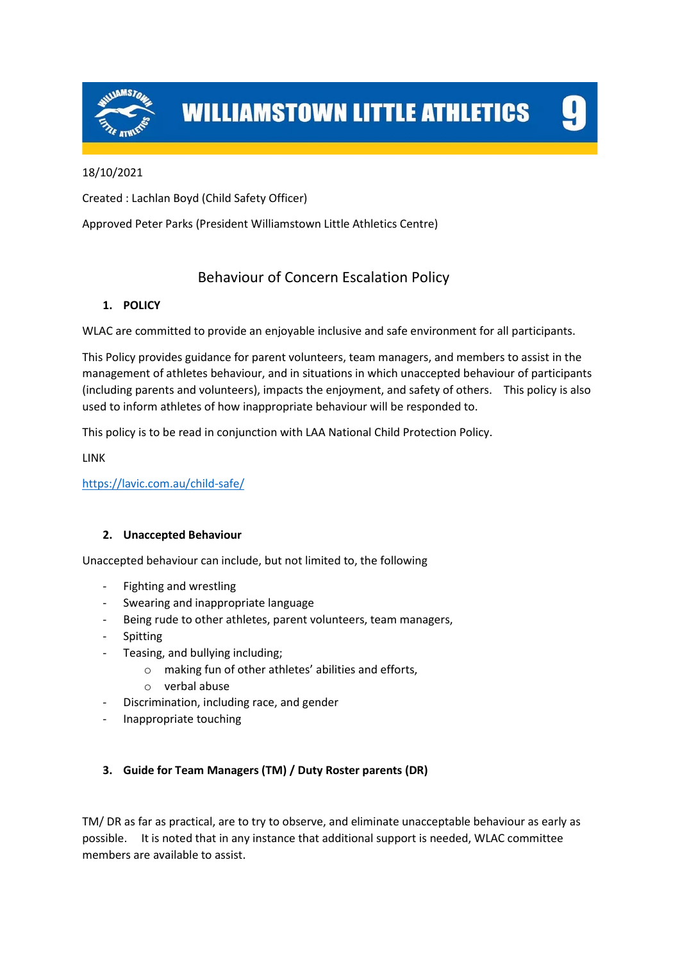

**WILLIAMSTOWN LITTLE ATHLETICS** 

## 18/10/2021

Created : Lachlan Boyd (Child Safety Officer)

Approved Peter Parks (President Williamstown Little Athletics Centre)

# Behaviour of Concern Escalation Policy

## **1. POLICY**

WLAC are committed to provide an enjoyable inclusive and safe environment for all participants.

This Policy provides guidance for parent volunteers, team managers, and members to assist in the management of athletes behaviour, and in situations in which unaccepted behaviour of participants (including parents and volunteers), impacts the enjoyment, and safety of others. This policy is also used to inform athletes of how inappropriate behaviour will be responded to.

This policy is to be read in conjunction with LAA National Child Protection Policy.

LINK

<https://lavic.com.au/child-safe/>

## **2. Unaccepted Behaviour**

Unaccepted behaviour can include, but not limited to, the following

- Fighting and wrestling
- Swearing and inappropriate language
- Being rude to other athletes, parent volunteers, team managers,
- Spitting
- Teasing, and bullying including;
	- o making fun of other athletes' abilities and efforts,
	- o verbal abuse
- Discrimination, including race, and gender
- Inappropriate touching

## **3. Guide for Team Managers (TM) / Duty Roster parents (DR)**

TM/ DR as far as practical, are to try to observe, and eliminate unacceptable behaviour as early as possible. It is noted that in any instance that additional support is needed, WLAC committee members are available to assist.